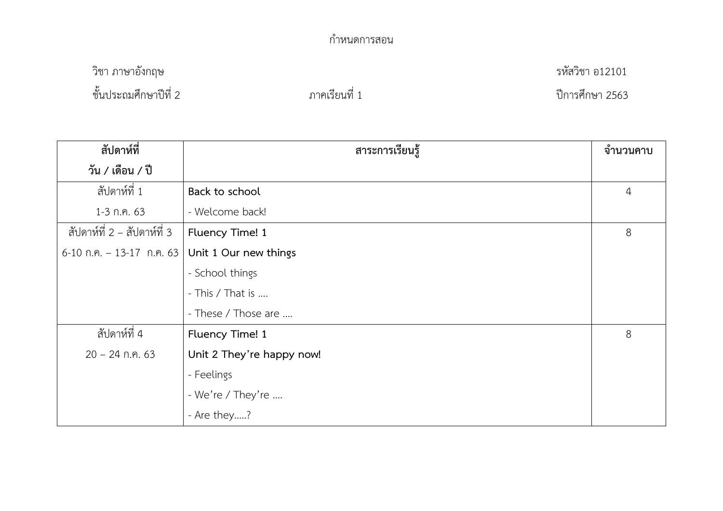## กำหนดการสอน

วิชา ภาษาอังกฤษ รหัสวิชา อ12101

ชั้นประถมศึกษาปีที่ 2 ภาคเรียนที่ 1 ปีการศึกษา 2563

| สัปดาห์ที่                  | สาระการเรียนรู้           | จำนวนคาบ     |
|-----------------------------|---------------------------|--------------|
| วัน / เดือน / ปี            |                           |              |
| สัปดาห์ที่ 1                | Back to school            | $\downarrow$ |
| $1-3$ ก.ค. 63               | - Welcome back!           |              |
| สัปดาห์ที่ 2 – สัปดาห์ที่ 3 | Fluency Time! 1           | 8            |
| $6-10$ ก.ค. - 13-17 ก.ค. 63 | Unit 1 Our new things     |              |
|                             | - School things           |              |
|                             | - This / That is          |              |
|                             | - These / Those are       |              |
| สัปดาห์ที่ 4                | Fluency Time! 1           | 8            |
| $20 - 24$ ก.ค. 63           | Unit 2 They're happy now! |              |
|                             | - Feelings                |              |
|                             | - We're / They're         |              |
|                             | - Are they?               |              |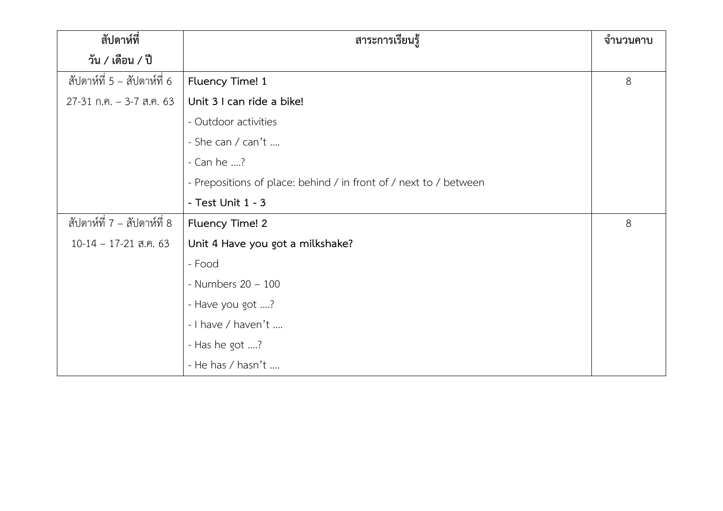| สัปดาห์ที่                  | สาระการเรียนรู้                                                   | จำนวนคาบ |
|-----------------------------|-------------------------------------------------------------------|----------|
| วัน / เดือน / ปี            |                                                                   |          |
| สัปดาห์ที่ 5 - สัปดาห์ที่ 6 | Fluency Time! 1                                                   | 8        |
| $27-31$ ก.ค. - 3-7 ส.ค. 63  | Unit 3 I can ride a bike!                                         |          |
|                             | - Outdoor activities                                              |          |
|                             | - She can / can't                                                 |          |
|                             | - Can he ?                                                        |          |
|                             | - Prepositions of place: behind / in front of / next to / between |          |
|                             | - Test Unit 1 - 3                                                 |          |
| สัปดาห์ที่ 7 - สัปดาห์ที่ 8 | Fluency Time! 2                                                   | 8        |
| $10-14 - 17-21$ ส.ค. 63     | Unit 4 Have you got a milkshake?                                  |          |
|                             | - Food                                                            |          |
|                             | - Numbers $20 - 100$                                              |          |
|                             | - Have you got ?                                                  |          |
|                             | - I have / haven't                                                |          |
|                             | - Has he got ?                                                    |          |
|                             | - He has / hasn't                                                 |          |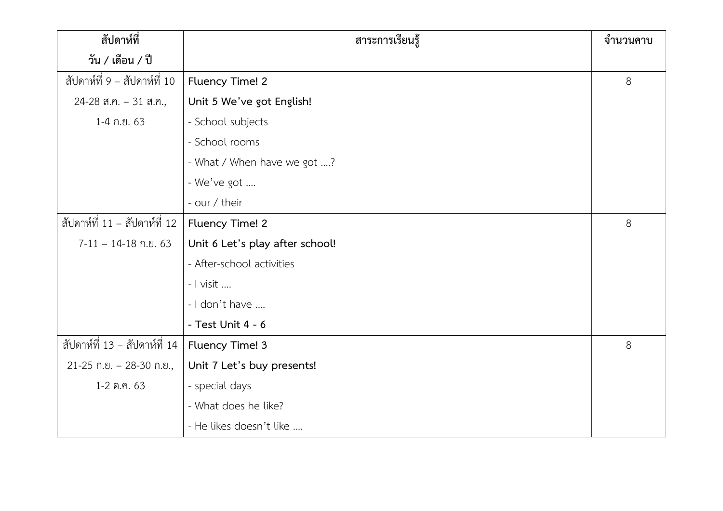| สัปดาห์ที่                    | สาระการเรียนรู้                 | จำนวนคาบ |
|-------------------------------|---------------------------------|----------|
| วัน / เดือน / ปี              |                                 |          |
| สัปดาห์ที่ 9 - สัปดาห์ที่ 10  | Fluency Time! 2                 | 8        |
| 24-28 ส.ค. - 31 ส.ค.,         | Unit 5 We've got English!       |          |
| 1-4 ก.ย. 63                   | - School subjects               |          |
|                               | - School rooms                  |          |
|                               | - What / When have we got ?     |          |
|                               | - We've got                     |          |
|                               | - our / their                   |          |
| สัปดาห์ที่ 11 - สัปดาห์ที่ 12 | Fluency Time! 2                 | 8        |
| $7-11 - 14-18$ ก.ย. 63        | Unit 6 Let's play after school! |          |
|                               | - After-school activities       |          |
|                               | - I visit                       |          |
|                               | - I don't have                  |          |
|                               | - Test Unit 4 - 6               |          |
| สัปดาห์ที่ 13 - สัปดาห์ที่ 14 | Fluency Time! 3                 | 8        |
| $21-25$ ก.ย. - 28-30 ก.ย.,    | Unit 7 Let's buy presents!      |          |
| 1-2 ต.ค. 63                   | - special days                  |          |
|                               | - What does he like?            |          |
|                               | - He likes doesn't like         |          |